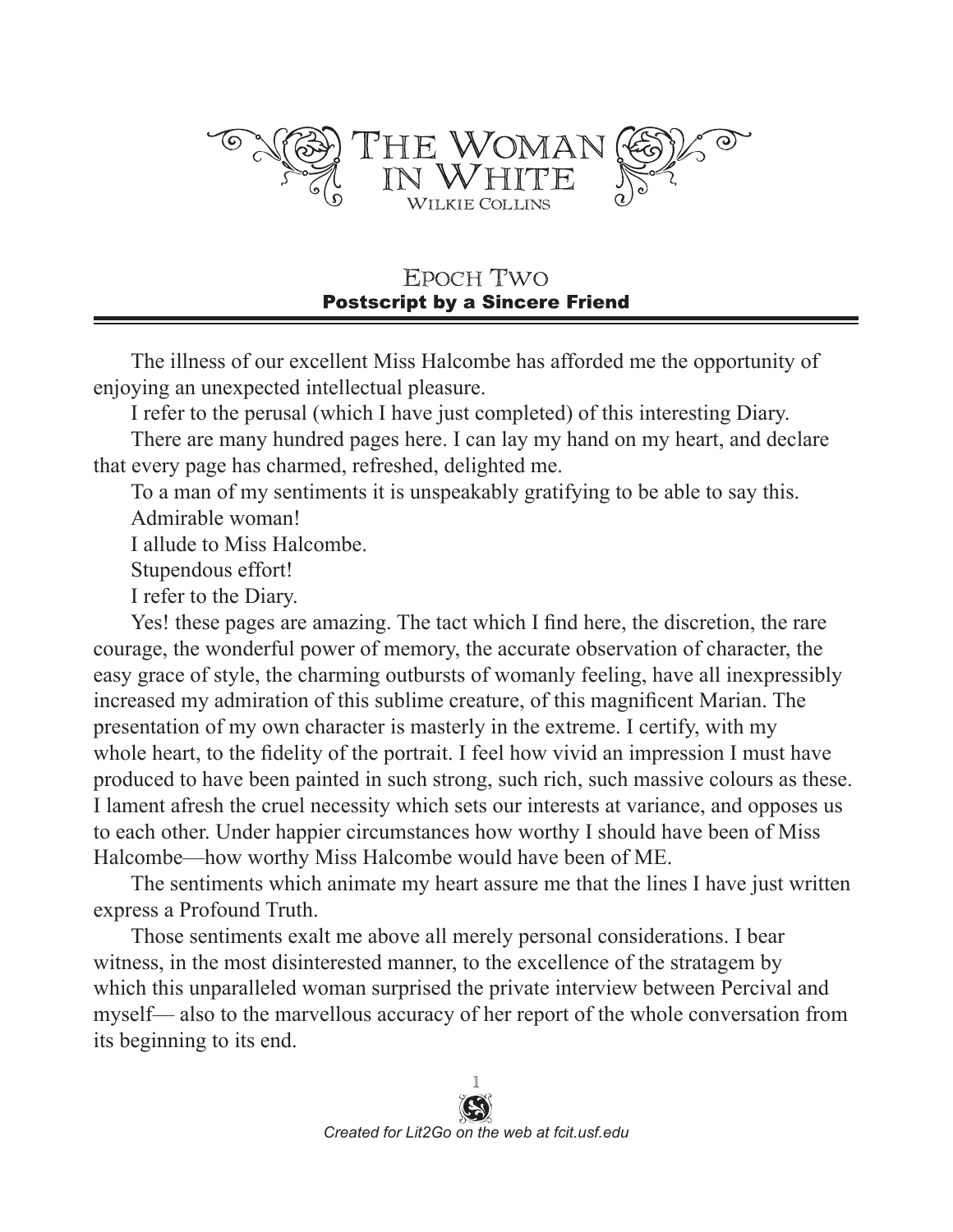

EPOCH TWO **Postscript by a Sincere Friend** 

The illness of our excellent Miss Halcombe has afforded me the opportunity of enjoying an unexpected intellectual pleasure.

I refer to the perusal (which I have just completed) of this interesting Diary.

There are many hundred pages here. I can lay my hand on my heart, and declare that every page has charmed, refreshed, delighted me.

To a man of my sentiments it is unspeakably gratifying to be able to say this. Admirable woman!

I allude to Miss Halcombe.

Stupendous effort!

I refer to the Diary.

Yes! these pages are amazing. The tact which I find here, the discretion, the rare courage, the wonderful power of memory, the accurate observation of character, the easy grace of style, the charming outbursts of womanly feeling, have all inexpressibly increased my admiration of this sublime creature, of this magnificent Marian. The presentation of my own character is masterly in the extreme. I certify, with my whole heart, to the fidelity of the portrait. I feel how vivid an impression I must have produced to have been painted in such strong, such rich, such massive colours as these. I lament afresh the cruel necessity which sets our interests at variance, and opposes us to each other. Under happier circumstances how worthy I should have been of Miss Halcombe—how worthy Miss Halcombe would have been of ME.

The sentiments which animate my heart assure me that the lines I have just written express a Profound Truth.

Those sentiments exalt me above all merely personal considerations. I bear witness, in the most disinterested manner, to the excellence of the stratagem by which this unparalleled woman surprised the private interview between Percival and myself— also to the marvellous accuracy of her report of the whole conversation from its beginning to its end.